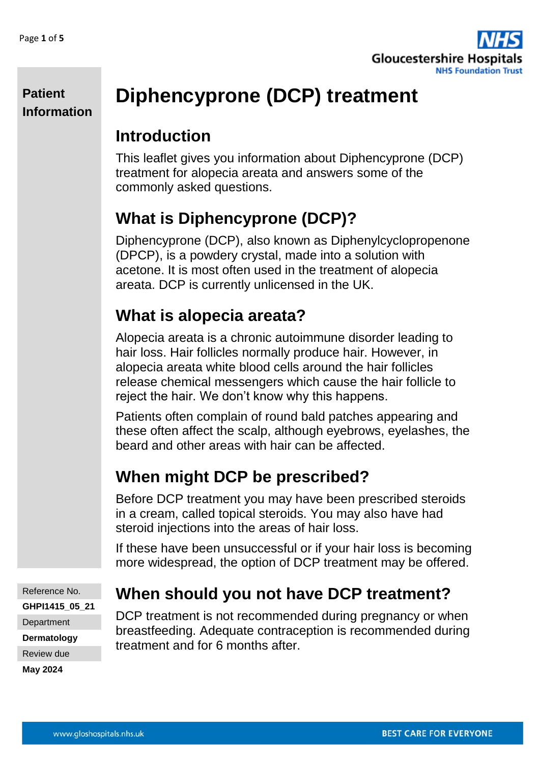**Patient** 

**Information**



# **Diphencyprone (DCP) treatment**

### **Introduction**

This leaflet gives you information about Diphencyprone (DCP) treatment for alopecia areata and answers some of the commonly asked questions.

### **What is Diphencyprone (DCP)?**

Diphencyprone (DCP), also known as Diphenylcyclopropenone (DPCP), is a powdery crystal, made into a solution with acetone. It is most often used in the treatment of alopecia areata. DCP is currently unlicensed in the UK.

## **What is alopecia areata?**

Alopecia areata is a chronic autoimmune disorder leading to hair loss. Hair follicles normally produce hair. However, in alopecia areata white blood cells around the hair follicles release chemical messengers which cause the hair follicle to reject the hair. We don't know why this happens.

Patients often complain of round bald patches appearing and these often affect the scalp, although eyebrows, eyelashes, the beard and other areas with hair can be affected.

## **When might DCP be prescribed?**

Before DCP treatment you may have been prescribed steroids in a cream, called topical steroids. You may also have had steroid injections into the areas of hair loss.

If these have been unsuccessful or if your hair loss is becoming more widespread, the option of DCP treatment may be offered.

Reference No. **GHPI1415\_05\_21 Department Dermatology** Review due

#### **May 2024**

### **When should you not have DCP treatment?**

DCP treatment is not recommended during pregnancy or when breastfeeding. Adequate contraception is recommended during treatment and for 6 months after.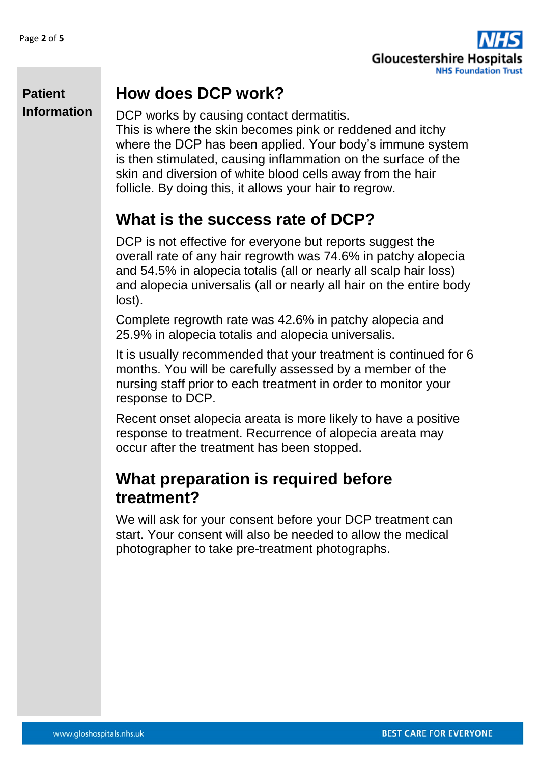

### **How does DCP work?**

DCP works by causing contact dermatitis. This is where the skin becomes pink or reddened and itchy where the DCP has been applied. Your body's immune system is then stimulated, causing inflammation on the surface of the skin and diversion of white blood cells away from the hair follicle. By doing this, it allows your hair to regrow.

### **What is the success rate of DCP?**

DCP is not effective for everyone but reports suggest the overall rate of any hair regrowth was 74.6% in patchy alopecia and 54.5% in alopecia totalis (all or nearly all scalp hair loss) and alopecia universalis (all or nearly all hair on the entire body lost).

Complete regrowth rate was 42.6% in patchy alopecia and 25.9% in alopecia totalis and alopecia universalis.

It is usually recommended that your treatment is continued for 6 months. You will be carefully assessed by a member of the nursing staff prior to each treatment in order to monitor your response to DCP.

Recent onset alopecia areata is more likely to have a positive response to treatment. Recurrence of alopecia areata may occur after the treatment has been stopped.

### **What preparation is required before treatment?**

We will ask for your consent before your DCP treatment can start. Your consent will also be needed to allow the medical photographer to take pre-treatment photographs.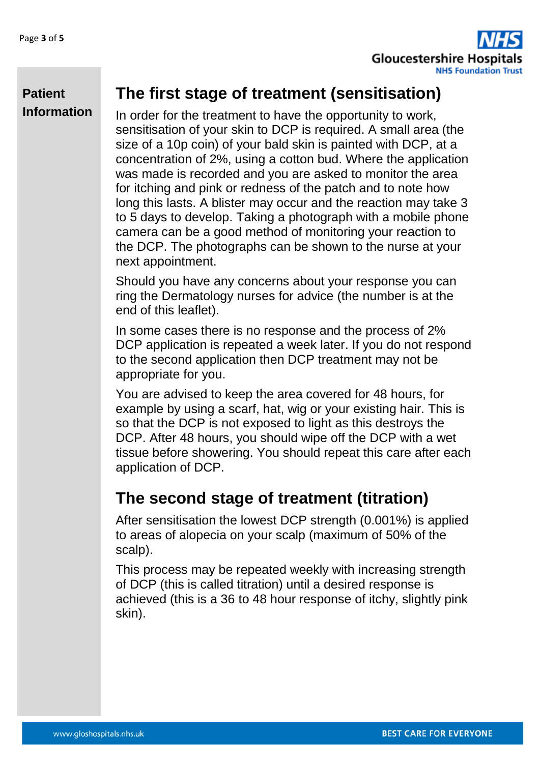

### **The first stage of treatment (sensitisation)**

In order for the treatment to have the opportunity to work, sensitisation of your skin to DCP is required. A small area (the size of a 10p coin) of your bald skin is painted with DCP, at a concentration of 2%, using a cotton bud. Where the application was made is recorded and you are asked to monitor the area for itching and pink or redness of the patch and to note how long this lasts. A blister may occur and the reaction may take 3 to 5 days to develop. Taking a photograph with a mobile phone camera can be a good method of monitoring your reaction to the DCP. The photographs can be shown to the nurse at your next appointment.

Should you have any concerns about your response you can ring the Dermatology nurses for advice (the number is at the end of this leaflet).

In some cases there is no response and the process of 2% DCP application is repeated a week later. If you do not respond to the second application then DCP treatment may not be appropriate for you.

You are advised to keep the area covered for 48 hours, for example by using a scarf, hat, wig or your existing hair. This is so that the DCP is not exposed to light as this destroys the DCP. After 48 hours, you should wipe off the DCP with a wet tissue before showering. You should repeat this care after each application of DCP.

### **The second stage of treatment (titration)**

After sensitisation the lowest DCP strength (0.001%) is applied to areas of alopecia on your scalp (maximum of 50% of the scalp).

This process may be repeated weekly with increasing strength of DCP (this is called titration) until a desired response is achieved (this is a 36 to 48 hour response of itchy, slightly pink skin).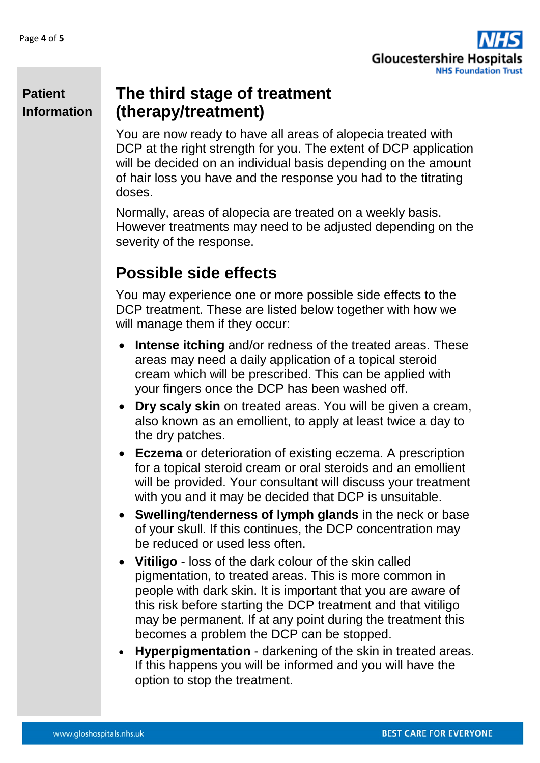

### **The third stage of treatment (therapy/treatment)**

You are now ready to have all areas of alopecia treated with DCP at the right strength for you. The extent of DCP application will be decided on an individual basis depending on the amount of hair loss you have and the response you had to the titrating doses.

Normally, areas of alopecia are treated on a weekly basis. However treatments may need to be adjusted depending on the severity of the response.

### **Possible side effects**

You may experience one or more possible side effects to the DCP treatment. These are listed below together with how we will manage them if they occur:

- **Intense itching** and/or redness of the treated areas. These areas may need a daily application of a topical steroid cream which will be prescribed. This can be applied with your fingers once the DCP has been washed off.
- **Dry scaly skin** on treated areas. You will be given a cream, also known as an emollient, to apply at least twice a day to the dry patches.
- **Eczema** or deterioration of existing eczema. A prescription for a topical steroid cream or oral steroids and an emollient will be provided. Your consultant will discuss your treatment with you and it may be decided that DCP is unsuitable.
- **Swelling/tenderness of lymph glands** in the neck or base of your skull. If this continues, the DCP concentration may be reduced or used less often.
- **Vitiligo**  loss of the dark colour of the skin called pigmentation, to treated areas. This is more common in people with dark skin. It is important that you are aware of this risk before starting the DCP treatment and that vitiligo may be permanent. If at any point during the treatment this becomes a problem the DCP can be stopped.
- **Hyperpigmentation**  darkening of the skin in treated areas. If this happens you will be informed and you will have the option to stop the treatment.